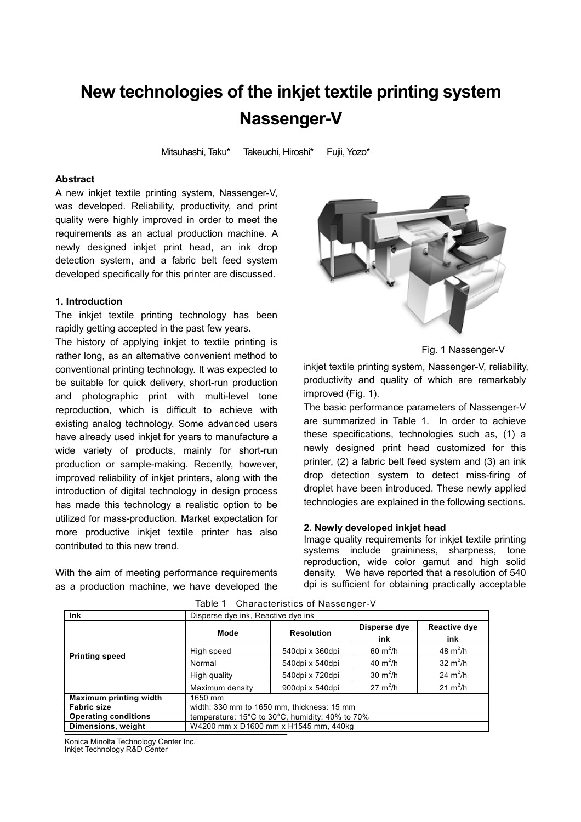# **New technologies of the inkjet textile printing system Nassenger-V**

Mitsuhashi, Taku\* Takeuchi, Hiroshi\* Fujii, Yozo\*

# **Abstract**

A new inkjet textile printing system, Nassenger-V, was developed. Reliability, productivity, and print quality were highly improved in order to meet the requirements as an actual production machine. A newly designed inkjet print head, an ink drop detection system, and a fabric belt feed system developed specifically for this printer are discussed.

#### **1. Introduction**

The inkjet textile printing technology has been rapidly getting accepted in the past few years.

The history of applying inkjet to textile printing is rather long, as an alternative convenient method to conventional printing technology. It was expected to be suitable for quick delivery, short-run production and photographic print with multi-level tone reproduction, which is difficult to achieve with existing analog technology. Some advanced users have already used inkjet for years to manufacture a wide variety of products, mainly for short-run production or sample-making. Recently, however, improved reliability of inkiet printers, along with the introduction of digital technology in design process has made this technology a realistic option to be utilized for mass-production. Market expectation for more productive inkjet textile printer has also contributed to this new trend.

With the aim of meeting performance requirements as a production machine, we have developed the



Fig. 1 Nassenger-V

inkjet textile printing system, Nassenger-V, reliability, productivity and quality of which are remarkably improved (Fig. 1).

The basic performance parameters of Nassenger-V are summarized in Table 1. In order to achieve these specifications, technologies such as, (1) a newly designed print head customized for this printer, (2) a fabric belt feed system and (3) an ink drop detection system to detect miss-firing of droplet have been introduced. These newly applied technologies are explained in the following sections.

#### **2. Newly developed inkjet head**

Image quality requirements for inkjet textile printing systems include graininess, sharpness, tone reproduction, wide color gamut and high solid density. We have reported that a resolution of 540 dpi is sufficient for obtaining practically acceptable

| <b>Ink</b>                  | Disperse dye ink, Reactive dye ink              |                   |                     |                     |
|-----------------------------|-------------------------------------------------|-------------------|---------------------|---------------------|
| <b>Printing speed</b>       | Mode                                            | <b>Resolution</b> | Disperse dye<br>ink | Reactive dye<br>ink |
|                             | High speed                                      | 540dpi x 360dpi   | $60 \text{ m}^2/h$  | 48 $m^2/h$          |
|                             | Normal                                          | 540dpi x 540dpi   | 40 $m^2/h$          | 32 $m^2/h$          |
|                             | High quality                                    | 540dpi x 720dpi   | 30 $m^2/h$          | 24 $m^2/h$          |
|                             | Maximum density                                 | 900dpi x 540dpi   | $27 \text{ m}^2/h$  | $21 \text{ m}^2/h$  |
| Maximum printing width      | 1650 mm                                         |                   |                     |                     |
| <b>Fabric size</b>          | width: 330 mm to 1650 mm, thickness: 15 mm      |                   |                     |                     |
| <b>Operating conditions</b> | temperature: 15°C to 30°C, humidity: 40% to 70% |                   |                     |                     |
| Dimensions, weight          | W4200 mm x D1600 mm x H1545 mm, 440kg           |                   |                     |                     |

Table 1 Characteristics of Nassenger-V

Konica Minolta Technology Center Inc.

Inkjet Technology R&D Center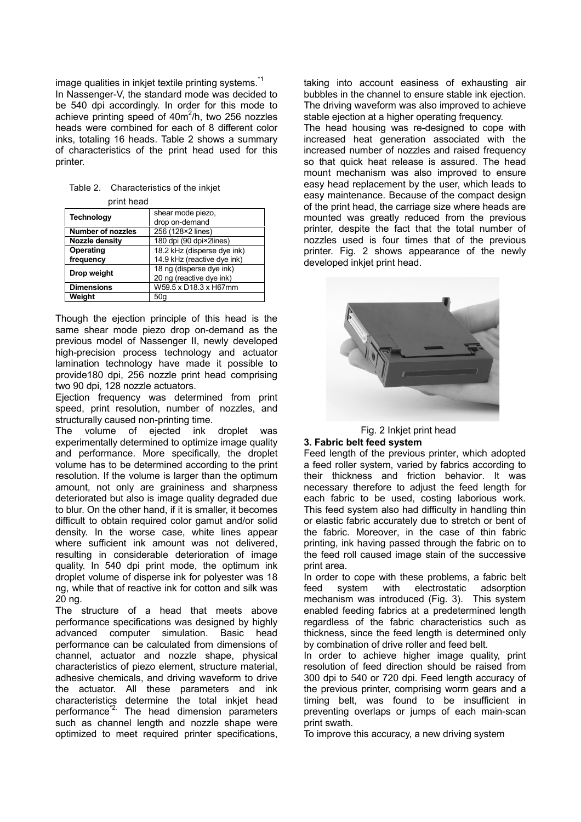image qualities in inkiet textile printing systems.<sup>\*1</sup> In Nassenger-V, the standard mode was decided to be 540 dpi accordingly. In order for this mode to achieve printing speed of  $40m^2/h$ , two 256 nozzles heads were combined for each of 8 different color inks, totaling 16 heads. Table 2 shows a summary of characteristics of the print head used for this printer.

| Table 2. Characteristics of the inkiet |
|----------------------------------------|
| print head                             |

| <b>Technology</b>        | shear mode piezo,<br>drop on-demand |  |
|--------------------------|-------------------------------------|--|
| <b>Number of nozzles</b> | 256 (128×2 lines)                   |  |
| Nozzle density           | 180 dpi (90 dpi×2lines)             |  |
| Operating                | 18.2 kHz (disperse dye ink)         |  |
| frequency                | 14.9 kHz (reactive dye ink)         |  |
| Drop weight              | 18 ng (disperse dye ink)            |  |
|                          | 20 ng (reactive dye ink)            |  |
| <b>Dimensions</b>        | W59.5 x D18.3 x H67mm               |  |
| Weight                   | 50 <sub>q</sub>                     |  |

Though the ejection principle of this head is the same shear mode piezo drop on-demand as the previous model of Nassenger II, newly developed high-precision process technology and actuator lamination technology have made it possible to provide180 dpi, 256 nozzle print head comprising two 90 dpi, 128 nozzle actuators.

Eiection frequency was determined from print speed, print resolution, number of nozzles, and structurally caused non-printing time.

The volume of ejected ink droplet was experimentally determined to optimize image quality and performance. More specifically, the droplet volume has to be determined according to the print resolution. If the volume is larger than the optimum amount, not only are graininess and sharpness deteriorated but also is image quality degraded due to blur. On the other hand, if it is smaller, it becomes difficult to obtain required color gamut and/or solid density. In the worse case, white lines appear where sufficient ink amount was not delivered, resulting in considerable deterioration of image quality. In 540 dpi print mode, the optimum ink droplet volume of disperse ink for polyester was 18 ng, while that of reactive ink for cotton and silk was 20 ng.

The structure of a head that meets above performance specifications was designed by highly advanced computer simulation. Basic head performance can be calculated from dimensions of channel, actuator and nozzle shape, physical characteristics of piezo element, structure material, adhesive chemicals, and driving waveform to drive the actuator. All these parameters and ink characteristics determine the total inkjet head performance<sup>\*2</sup>. The head dimension parameters such as channel length and nozzle shape were optimized to meet required printer specifications,

taking into account easiness of exhausting air bubbles in the channel to ensure stable ink ejection. The driving waveform was also improved to achieve stable ejection at a higher operating frequency.

The head housing was re-designed to cope with increased heat generation associated with the increased number of nozzles and raised frequency so that quick heat release is assured. The head mount mechanism was also improved to ensure easy head replacement by the user, which leads to easy maintenance. Because of the compact design of the print head, the carriage size where heads are mounted was greatly reduced from the previous printer, despite the fact that the total number of nozzles used is four times that of the previous printer. Fig. 2 shows appearance of the newly developed inkiet print head.



Fig. 2 Inkjet print head

## **3. Fabric belt feed system**

Feed length of the previous printer, which adopted a feed roller system, varied by fabrics according to their thickness and friction behavior. It was necessary therefore to adjust the feed length for each fabric to be used, costing laborious work. This feed system also had difficulty in handling thin or elastic fabric accurately due to stretch or bent of the fabric. Moreover, in the case of thin fabric printing, ink having passed through the fabric on to the feed roll caused image stain of the successive print area.

In order to cope with these problems, a fabric belt feed system with electrostatic adsorption mechanism was introduced (Fig. 3). This system enabled feeding fabrics at a predetermined length regardless of the fabric characteristics such as thickness, since the feed length is determined only by combination of drive roller and feed belt.

In order to achieve higher image quality, print resolution of feed direction should be raised from 300 dpi to 540 or 720 dpi. Feed length accuracy of the previous printer, comprising worm gears and a timing belt, was found to be insufficient in preventing overlaps or jumps of each main-scan print swath.

To improve this accuracy, a new driving system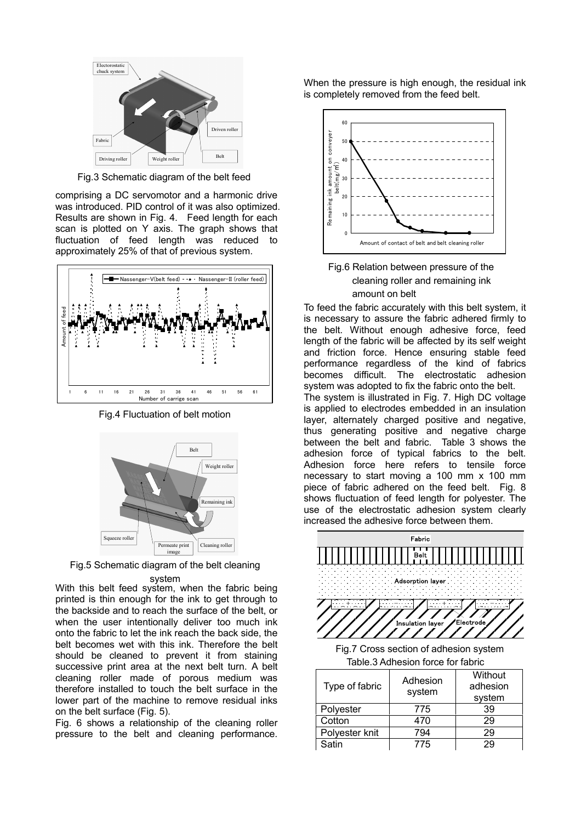

Fig.3 Schematic diagram of the belt feed

comprising a DC servomotor and a harmonic drive was introduced. PID control of it was also optimized. Results are shown in Fig. 4. Feed length for each scan is plotted on Y axis. The graph shows that fluctuation of feed length was reduced to approximately 25% of that of previous system.



Fig.4 Fluctuation of belt motion



Fig.5 Schematic diagram of the belt cleaning

With this belt feed system, when the fabric being printed is thin enough for the ink to get through to the backside and to reach the surface of the belt, or when the user intentionally deliver too much ink onto the fabric to let the ink reach the back side, the belt becomes wet with this ink. Therefore the belt should be cleaned to prevent it from staining successive print area at the next belt turn. A belt cleaning roller made of porous medium was therefore installed to touch the belt surface in the lower part of the machine to remove residual inks on the belt surface (Fig. 5). system

Fig. 6 shows a relationship of the cleaning roller pressure to the belt and cleaning performance.

When the pressure is high enough, the residual ink is completely removed from the feed belt.



Fig.6 Relation between pressure of the cleaning roller and remaining ink amount on belt

To feed the fabric accurately with this belt system, it is necessary to assure the fabric adhered firmly to the belt. Without enough adhesive force, feed length of the fabric will be affected by its self weight and friction force. Hence ensuring stable feed performance regardless of the kind of fabrics becomes difficult. The electrostatic adhesion system was adopted to fix the fabric onto the belt. The system is illustrated in Fig. 7. High DC voltage is applied to electrodes embedded in an insulation layer, alternately charged positive and negative, thus generating positive and negative charge between the belt and fabric. Table 3 shows the adhesion force of typical fabrics to the belt. Adhesion force here refers to tensile force necessary to start moving a 100 mm x 100 mm piece of fabric adhered on the feed belt. Fig. 8 shows fluctuation of feed length for polyester. The use of the electrostatic adhesion system clearly increased the adhesive force between them.



Table.3 Adhesion force for fabric

| Type of fabric | Adhesion<br>system | Without<br>adhesion<br>system |
|----------------|--------------------|-------------------------------|
| Polyester      | 775                | 39                            |
| Cotton         | 470                | 29                            |
| Polyester knit | 794                | 29                            |
| Satin          | 775                | 29                            |